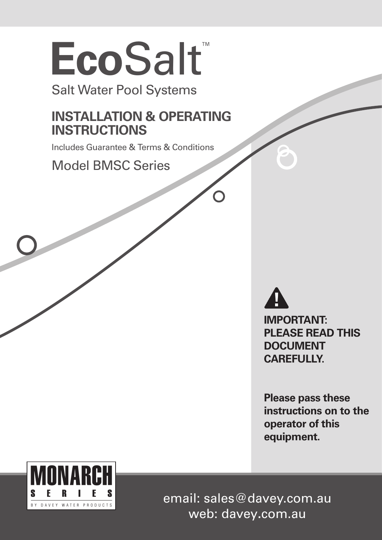# **Eco**Salt™

Salt Water Pool Systems

# **INSTALLATION & OPERATING INSTRUCTIONS**

Includes Guarantee & Terms & Conditions

Model BMSC Series

**IMPORTANT: PLEASE READ THIS DOCUMENT CAREFULLY.**

**Please pass these instructions on to the operator of this equipment.**



email: sales@davey.com.au web: davey**.**com.au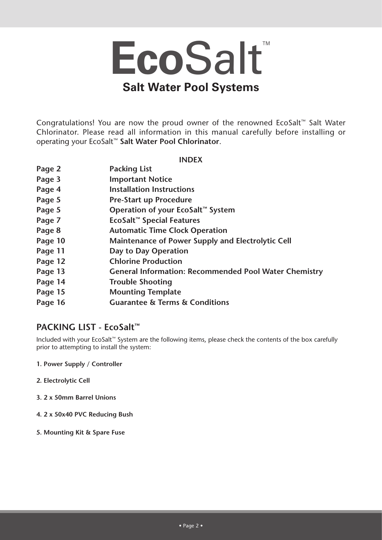# **Eco**Salt™ **Salt Water Pool Systems**

Congratulations! You are now the proud owner of the renowned EcoSalt™ Salt Water Chlorinator. Please read all information in this manual carefully before installing or operating your EcoSalt™ **Salt Water Pool Chlorinator**.

**INDEX**

| Page 2  | <b>Packing List</b>                                          |
|---------|--------------------------------------------------------------|
| Page 3  | <b>Important Notice</b>                                      |
| Page 4  | <b>Installation Instructions</b>                             |
| Page 5  | <b>Pre-Start up Procedure</b>                                |
| Page 5  | Operation of your EcoSalt™ System                            |
| Page 7  | EcoSalt <sup>™</sup> Special Features                        |
| Page 8  | <b>Automatic Time Clock Operation</b>                        |
| Page 10 | Maintenance of Power Supply and Electrolytic Cell            |
| Page 11 | Day to Day Operation                                         |
| Page 12 | <b>Chlorine Production</b>                                   |
| Page 13 | <b>General Information: Recommended Pool Water Chemistry</b> |
| Page 14 | <b>Trouble Shooting</b>                                      |
| Page 15 | <b>Mounting Template</b>                                     |
| Page 16 | <b>Guarantee &amp; Terms &amp; Conditions</b>                |

# **PACKING LIST - EcoSalt™**

Included with your EcoSalt™ System are the following items, please check the contents of the box carefully prior to attempting to install the system:

- **1. Power Supply / Controller**
- **2. Electrolytic Cell**
- **3. 2 x 50mm Barrel Unions**
- **4. 2 x 50x40 PVC Reducing Bush**
- **5. Mounting Kit & Spare Fuse**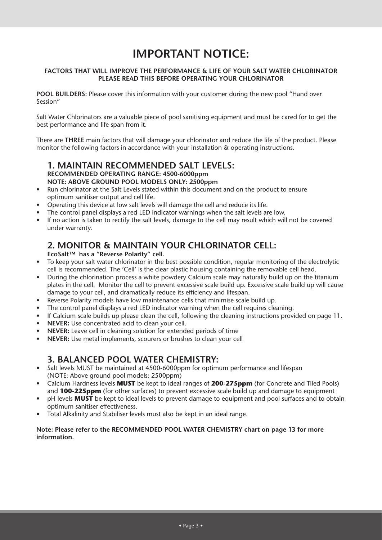# **IMPORTANT NOTICE:**

# **FACTORS THAT WILL IMPROVE THE PERFORMANCE & LIFE OF YOUR SALT WATER CHLORINATOR PLEASE READ THIS BEFORE OPERATING YOUR CHLORINATOR**

**POOL BUILDERS:** Please cover this information with your customer during the new pool "Hand over Session"

Salt Water Chlorinators are a valuable piece of pool sanitising equipment and must be cared for to get the best performance and life span from it.

There are **THREE** main factors that will damage your chlorinator and reduce the life of the product. Please monitor the following factors in accordance with your installation & operating instructions.

# **1. MAINTAIN RECOMMENDED SALT LEVELS: RECOMMENDED OPERATING RANGE: 4500-6000ppm NOTE: ABOVE GROUND POOL MODELS ONLY: 2500ppm**

- Run chlorinator at the Salt Levels stated within this document and on the product to ensure optimum sanitiser output and cell life.
- Operating this device at low salt levels will damage the cell and reduce its life.
- The control panel displays a red LED indicator warnings when the salt levels are low.
- If no action is taken to rectify the salt levels, damage to the cell may result which will not be covered under warranty.

# **2. MONITOR & MAINTAIN YOUR CHLORINATOR CELL:**

**EcoSalt™ has a "Reverse Polarity" cell.**

- To keep your salt water chlorinator in the best possible condition, regular monitoring of the electrolytic cell is recommended. The 'Cell' is the clear plastic housing containing the removable cell head.
- During the chlorination process a white powdery Calcium scale may naturally build up on the titanium plates in the cell. Monitor the cell to prevent excessive scale build up. Excessive scale build up will cause damage to your cell, and dramatically reduce its efficiency and lifespan.
- Reverse Polarity models have low maintenance cells that minimise scale build up.
- The control panel displays a red LED indicator warning when the cell requires cleaning.
- If Calcium scale builds up please clean the cell, following the cleaning instructions provided on page 11.
- **NEVER:** Use concentrated acid to clean your cell.
- **NEVER:** Leave cell in cleaning solution for extended periods of time
- **NEVER:** Use metal implements, scourers or brushes to clean your cell

# **3. BALANCED POOL WATER CHEMISTRY:**

- Salt levels MUST be maintained at 4500-6000ppm for optimum performance and lifespan (NOTE: Above ground pool models: 2500ppm)
- Calcium Hardness levels **MUST** be kept to ideal ranges of **200-275ppm** (for Concrete and Tiled Pools) and **100-225ppm** (for other surfaces) to prevent excessive scale build up and damage to equipment
- pH levels **MUST** be kept to ideal levels to prevent damage to equipment and pool surfaces and to obtain optimum sanitiser effectiveness.
- Total Alkalinity and Stabiliser levels must also be kept in an ideal range.

#### **Note: Please refer to the RECOMMENDED POOL WATER CHEMISTRY chart on page 13 for more information.**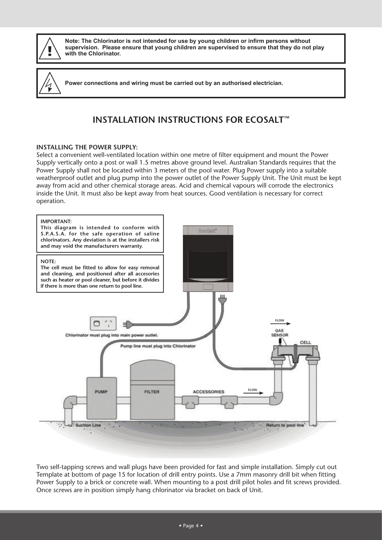

**Note: The Chlorinator is not intended for use by young children or infirm persons without supervision. Please ensure that young children are supervised to ensure that they do not play with the Chlorinator.**

**Power connections and wiring must be carried out by an authorised electrician.**

# **INSTALLATION INSTRUCTIONS FOR ECOSALT™**

# **INSTALLING THE POWER SUPPLY:**

Select a convenient well-ventilated location within one metre of filter equipment and mount the Power Supply vertically onto a post or wall 1.5 metres above ground level. Australian Standards requires that the Power Supply shall not be located within 3 meters of the pool water. Plug Power supply into a suitable weatherproof outlet and plug pump into the power outlet of the Power Supply Unit. The Unit must be kept away from acid and other chemical storage areas. Acid and chemical vapours will corrode the electronics inside the Unit. It must also be kept away from heat sources. Good ventilation is necessary for correct operation.



Two self-tapping screws and wall plugs have been provided for fast and simple installation. Simply cut out Template at bottom of page 15 for location of drill entry points. Use a 7mm masonry drill bit when fitting Power Supply to a brick or concrete wall. When mounting to a post drill pilot holes and fit screws provided. Once screws are in position simply hang chlorinator via bracket on back of Unit.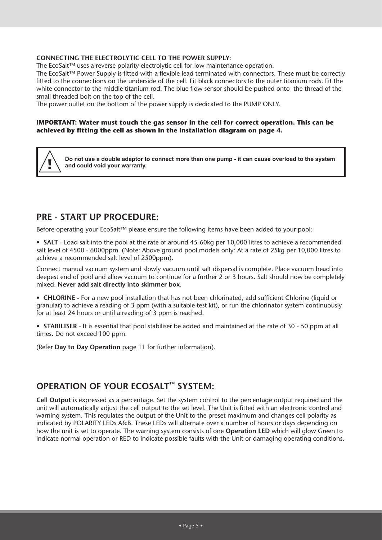#### **CONNECTING THE ELECTROLYTIC CELL TO THE POWER SUPPLY:**

The EcoSalt™ uses a reverse polarity electrolytic cell for low maintenance operation.

The EcoSalt™ Power Supply is fitted with a flexible lead terminated with connectors. These must be correctly fitted to the connections on the underside of the cell. Fit black connectors to the outer titanium rods. Fit the white connector to the middle titanium rod. The blue flow sensor should be pushed onto the thread of the small threaded bolt on the top of the cell.

The power outlet on the bottom of the power supply is dedicated to the PUMP ONLY.

#### **IMPORTANT: Water must touch the gas sensor in the cell for correct operation. This can be achieved by fitting the cell as shown in the installation diagram on page 4.**



**Do not use a double adaptor to connect more than one pump - it can cause overload to the system and could void your warranty.**

# **PRE - START UP PROCEDURE:**

Before operating your EcoSalt™ please ensure the following items have been added to your pool:

• **SALT** - Load salt into the pool at the rate of around 45-60kg per 10,000 litres to achieve a recommended salt level of 4500 - 6000ppm. (Note: Above ground pool models only: At a rate of 25kg per 10,000 litres to achieve a recommended salt level of 2500ppm).

Connect manual vacuum system and slowly vacuum until salt dispersal is complete. Place vacuum head into deepest end of pool and allow vacuum to continue for a further 2 or 3 hours. Salt should now be completely mixed. **Never add salt directly into skimmer box**.

• **CHLORINE** - For a new pool installation that has not been chlorinated, add sufficient Chlorine (liquid or granular) to achieve a reading of 3 ppm (with a suitable test kit), or run the chlorinator system continuously for at least 24 hours or until a reading of 3 ppm is reached.

• **STABILISER** - It is essential that pool stabiliser be added and maintained at the rate of 30 - 50 ppm at all times. Do not exceed 100 ppm.

(Refer **Day to Day Operation** page 11 for further information).

# **OPERATION OF YOUR ECOSALT™ SYSTEM:**

**Cell Output** is expressed as a percentage. Set the system control to the percentage output required and the unit will automatically adjust the cell output to the set level. The Unit is fitted with an electronic control and warning system. This regulates the output of the Unit to the preset maximum and changes cell polarity as indicated by POLARITY LEDs A&B. These LEDs will alternate over a number of hours or days depending on how the unit is set to operate. The warning system consists of one **Operation LED** which will glow Green to indicate normal operation or RED to indicate possible faults with the Unit or damaging operating conditions.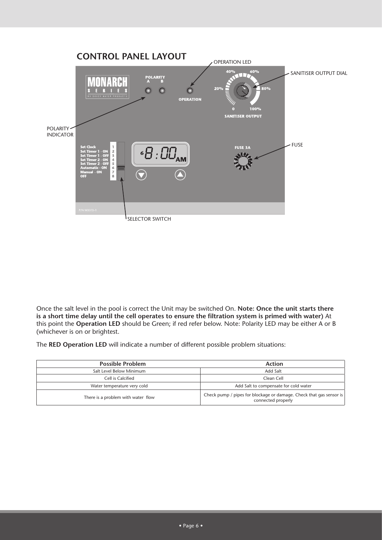

Once the salt level in the pool is correct the Unit may be switched On. **Note: Once the unit starts there is a short time delay until the cell operates to ensure the filtration system is primed with water)** At this point the **Operation LED** should be Green; if red refer below. Note: Polarity LED may be either A or B (whichever is on or brightest.

The **RED Operation LED** will indicate a number of different possible problem situations:

| <b>Possible Problem</b>            | Action                                                                                    |
|------------------------------------|-------------------------------------------------------------------------------------------|
| Salt Level Below Minimum           | Add Salt                                                                                  |
| Cell is Calcified                  | Clean Cell                                                                                |
| Water temperature very cold        | Add Salt to compensate for cold water                                                     |
| There is a problem with water flow | Check pump / pipes for blockage or damage. Check that gas sensor is<br>connected properly |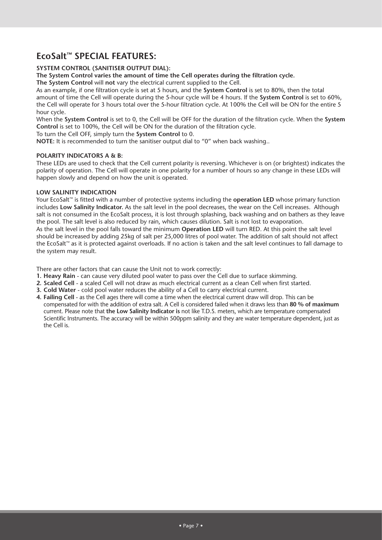# **EcoSalt™ SPECIAL FEATURES:**

# **SYSTEM CONTROL (SANITISER OUTPUT DIAL):**

**The System Control varies the amount of time the Cell operates during the filtration cycle.**

**The System Control** will **not** vary the electrical current supplied to the Cell.

As an example, if one filtration cycle is set at 5 hours, and the **System Control** is set to 80%, then the total amount of time the Cell will operate during the 5-hour cycle will be 4 hours. If the **System Control** is set to 60%, the Cell will operate for 3 hours total over the 5-hour filtration cycle. At 100% the Cell will be ON for the entire 5 hour cycle.

When the **System Control** is set to 0, the Cell will be OFF for the duration of the filtration cycle. When the **System Control** is set to 100%, the Cell will be ON for the duration of the filtration cycle.

To turn the Cell OFF, simply turn the **System Control** to 0.

**NOTE:** It is recommended to turn the sanitiser output dial to "0" when back washing..

#### **POLARITY INDICATORS A & B:**

These LEDs are used to check that the Cell current polarity is reversing. Whichever is on (or brightest) indicates the polarity of operation. The Cell will operate in one polarity for a number of hours so any change in these LEDs will happen slowly and depend on how the unit is operated.

#### **LOW SALINITY INDICATION**

Your EcoSalt™ is fitted with a number of protective systems including the **operation LED** whose primary function includes **Low Salinity Indicator.** As the salt level in the pool decreases, the wear on the Cell increases. Although salt is not consumed in the EcoSalt process, it is lost through splashing, back washing and on bathers as they leave the pool. The salt level is also reduced by rain, which causes dilution. Salt is not lost to evaporation. As the salt level in the pool falls toward the minimum **Operation LED** will turn RED. At this point the salt level should be increased by adding 25kg of salt per 25,000 litres of pool water. The addition of salt should not affect the EcoSalt™ as it is protected against overloads. If no action is taken and the salt level continues to fall damage to the system may result.

There are other factors that can cause the Unit not to work correctly:

- **1. Heavy Rain** can cause very diluted pool water to pass over the Cell due to surface skimming.
- **2. Scaled Cell** a scaled Cell will not draw as much electrical current as a clean Cell when first started.
- **3. Cold Water** cold pool water reduces the ability of a Cell to carry electrical current.
- **4. Failing Cell** as the Cell ages there will come a time when the electrical current draw will drop. This can be compensated for with the addition of extra salt. A Cell is considered failed when it draws less than **80 % of maximum** current. Please note that **the Low Salinity Indicator is** not like T.D.S. meters, which are temperature compensated Scientific Instruments. The accuracy will be within 500ppm salinity and they are water temperature dependent, just as the Cell is.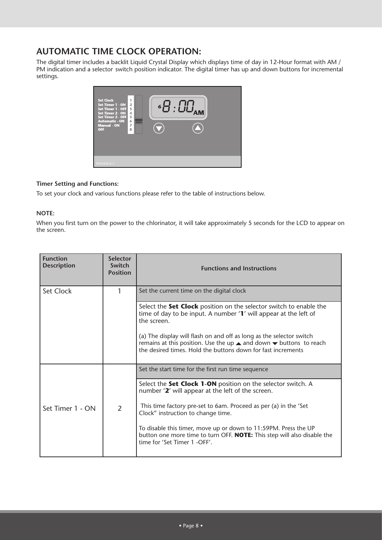# **AUTOMATIC TIME CLOCK OPERATION:**

The digital timer includes a backlit Liquid Crystal Display which displays time of day in 12-Hour format with AM / PM indication and a selector switch position indicator. The digital timer has up and down buttons for incremental settings.



# **Timer Setting and Functions:**

To set your clock and various functions please refer to the table of instructions below.

# **NOTE:**

When you first turn on the power to the chlorinator, it will take approximately 5 seconds for the LCD to appear on the screen.

| <b>Function</b><br><b>Description</b> | <b>Selector</b><br>Switch<br><b>Position</b> | <b>Functions and Instructions</b>                                                                                                                                                                                                                                                                                                                                                                                |  |  |  |  |
|---------------------------------------|----------------------------------------------|------------------------------------------------------------------------------------------------------------------------------------------------------------------------------------------------------------------------------------------------------------------------------------------------------------------------------------------------------------------------------------------------------------------|--|--|--|--|
| Set Clock                             | 1                                            | Set the current time on the digital clock                                                                                                                                                                                                                                                                                                                                                                        |  |  |  |  |
|                                       |                                              | Select the Set Clock position on the selector switch to enable the<br>time of day to be input. A number '1' will appear at the left of<br>the screen.<br>(a) The display will flash on and off as long as the selector switch<br>remains at this position. Use the up $\triangle$ and down $\blacktriangledown$ buttons to reach<br>the desired times. Hold the buttons down for fast increments                 |  |  |  |  |
|                                       |                                              | Set the start time for the first run time sequence                                                                                                                                                                                                                                                                                                                                                               |  |  |  |  |
| Set Timer 1 - ON                      | $\overline{2}$                               | Select the Set Clock 1-ON position on the selector switch. A<br>number '2' will appear at the left of the screen.<br>This time factory pre-set to 6am. Proceed as per (a) in the 'Set<br>Clock" instruction to change time.<br>To disable this timer, move up or down to 11:59PM. Press the UP<br>button one more time to turn OFF. <b>NOTE:</b> This step will also disable the<br>time for 'Set Timer 1 -OFF'. |  |  |  |  |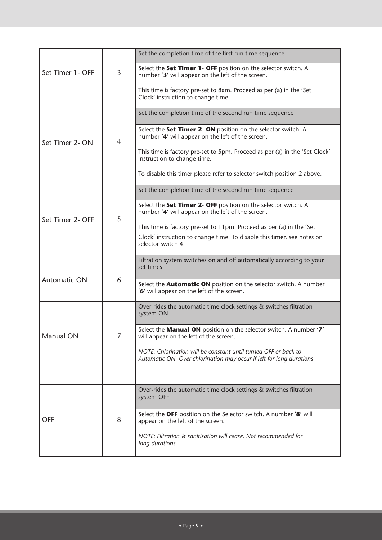|                  |                | Set the completion time of the first run time sequence                                                                                  |
|------------------|----------------|-----------------------------------------------------------------------------------------------------------------------------------------|
| Set Timer 1- OFF | 3              | Select the Set Timer 1- OFF position on the selector switch. A<br>number '3' will appear on the left of the screen.                     |
|                  |                | This time is factory pre-set to 8am. Proceed as per (a) in the 'Set<br>Clock' instruction to change time.                               |
|                  |                | Set the completion time of the second run time sequence                                                                                 |
| Set Timer 2- ON  | $\overline{4}$ | Select the Set Timer 2- ON position on the selector switch. A<br>number '4' will appear on the left of the screen.                      |
|                  |                | This time is factory pre-set to 5pm. Proceed as per (a) in the 'Set Clock'<br>instruction to change time.                               |
|                  |                | To disable this timer please refer to selector switch position 2 above.                                                                 |
|                  |                | Set the completion time of the second run time sequence                                                                                 |
| Set Timer 2- OFF | 5              | Select the Set Timer 2- OFF position on the selector switch. A<br>number '4' will appear on the left of the screen.                     |
|                  |                | This time is factory pre-set to 11pm. Proceed as per (a) in the 'Set                                                                    |
|                  |                | Clock' instruction to change time. To disable this timer, see notes on<br>selector switch 4.                                            |
|                  |                | Filtration system switches on and off automatically according to your<br>set times                                                      |
| Automatic ON     | 6              | Select the <b>Automatic ON</b> position on the selector switch. A number<br>'6' will appear on the left of the screen.                  |
|                  |                | Over-rides the automatic time clock settings & switches filtration<br>system ON                                                         |
| Manual ON        | 7              | Select the Manual ON position on the selector switch. A number '7'<br>will appear on the left of the screen.                            |
|                  |                | NOTE: Chlorination will be constant until turned OFF or back to<br>Automatic ON. Over chlorination may occur if left for long durations |
|                  |                |                                                                                                                                         |
|                  |                | Over-rides the automatic time clock settings & switches filtration<br>system OFF                                                        |
| <b>OFF</b>       | 8              | Select the OFF position on the Selector switch. A number '8' will<br>appear on the left of the screen.                                  |
|                  |                | NOTE: Filtration & sanitisation will cease. Not recommended for<br>long durations.                                                      |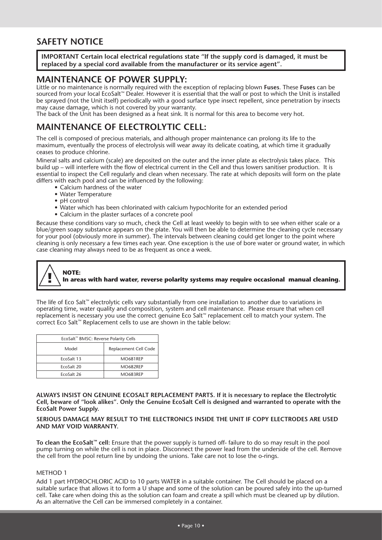# **SAFETY NOTICE**

**IMPORTANT Certain local electrical regulations state "If the supply cord is damaged, it must be replaced by a special cord available from the manufacturer or its service agent".**

# **MAINTENANCE OF POWER SUPPLY:**

Little or no maintenance is normally required with the exception of replacing blown **Fuses**. These **Fuses** can be sourced from your local EcoSalt™ Dealer. However it is essential that the wall or post to which the Unit is installed be sprayed (not the Unit itself) periodically with a good surface type insect repellent, since penetration by insects may cause damage, which is not covered by your warranty.

The back of the Unit has been designed as a heat sink. It is normal for this area to become very hot.

# **MAINTENANCE OF ELECTROLYTIC CELL:**

The cell is composed of precious materials, and although proper maintenance can prolong its life to the maximum, eventually the process of electrolysis will wear away its delicate coating, at which time it gradually ceases to produce chlorine.

Mineral salts and calcium (scale) are deposited on the outer and the inner plate as electrolysis takes place. This build up – will interfere with the flow of electrical current in the Cell and thus lowers sanitiser production. It is essential to inspect the Cell regularly and clean when necessary. The rate at which deposits will form on the plate differs with each pool and can be influenced by the following:

- Calcium hardness of the water
- Water Temperature
- pH control
- Water which has been chlorinated with calcium hypochlorite for an extended period
- Calcium in the plaster surfaces of a concrete pool

Because these conditions vary so much, check the Cell at least weekly to begin with to see when either scale or a blue/green soapy substance appears on the plate. You will then be able to determine the cleaning cycle necessary for your pool (obviously more in summer). The intervals between cleaning could get longer to the point where cleaning is only necessary a few times each year. One exception is the use of bore water or ground water, in which case cleaning may always need to be as frequent as once a week.

#### **NOTE: In areas with hard water, reverse polarity systems may require occasional manual cleaning.**

The life of Eco Salt™ electrolytic cells vary substantially from one installation to another due to variations in operating time, water quality and composition, system and cell maintenance. Please ensure that when cell replacement is necessary you use the correct genuine Eco Salt™ replacement cell to match your system. The correct Eco Salt™ Replacement cells to use are shown in the table below:

| EcoSalt™ BMSC: Reverse Polarity Cells |                       |  |  |  |  |
|---------------------------------------|-----------------------|--|--|--|--|
| Model                                 | Replacement Cell Code |  |  |  |  |
| EcoSalt 13                            | MO681REP              |  |  |  |  |
| EcoSalt 20                            | MO682REP              |  |  |  |  |
| FroSalt 26                            | MO683REP              |  |  |  |  |

**ALWAYS INSIST ON GENUINE ECOSALT REPLACEMENT PARTS. If it is necessary to replace the Electrolytic Cell, beware of "look alikes". Only the Genuine EcoSalt Cell is designed and warranted to operate with the EcoSalt Power Supply.** 

#### **SERIOUS DAMAGE MAY RESULT TO THE ELECTRONICS INSIDE THE UNIT IF COPY ELECTRODES ARE USED AND MAY VOID WARRANTY.**

**To clean the EcoSalt™ cell:** Ensure that the power supply is turned off- failure to do so may result in the pool pump turning on while the cell is not in place. Disconnect the power lead from the underside of the cell. Remove the cell from the pool return line by undoing the unions. Take care not to lose the o-rings.

#### METHOD 1

Add 1 part HYDROCHLORIC ACID to 10 parts WATER in a suitable container. The Cell should be placed on a suitable surface that allows it to form a U shape and some of the solution can be poured safely into the up-turned cell. Take care when doing this as the solution can foam and create a spill which must be cleaned up by dilution. As an alternative the Cell can be immersed completely in a container.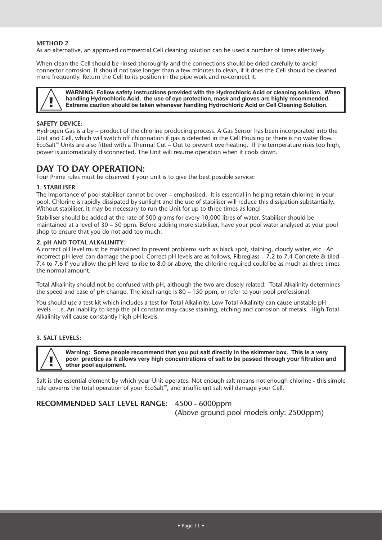#### **METHOD 2**

As an alternative, an approved commercial Cell cleaning solution can be used a number of times effectively.

When clean the Cell should be rinsed thoroughly and the connections should be dried carefully to avoid connector corrosion. It should not take longer than a few minutes to clean, if it does the Cell should be cleaned more frequently. Return the Cell to its position in the pipe work and re-connect it.



**WARNING: Follow safety instructions provided with the Hydrochloric Acid or cleaning solution. When handling Hydrochloric Acid, the use of eye protection, mask and gloves are highly recommended. Extreme caution should be taken whenever handling Hydrochloric Acid or Cell Cleaning Solution.**

#### **SAFETY DEVICE:**

Hydrogen Gas is a by – product of the chlorine producing process. A Gas Sensor has been incorporated into the Unit and Cell, which will switch off chlorination if gas is detected in the Cell Housing or there is no water flow. EcoSalt™ Units are also fitted with a Thermal Cut – Out to prevent overheating. If the temperature rises too high, power is automatically disconnected. The Unit will resume operation when it cools down.

# **DAY TO DAY OPERATION:**

Four Prime rules must be observed if your unit is to give the best possible service:

#### **1. STABILISER**

The importance of pool stabiliser cannot be over – emphasised. It is essential in helping retain chlorine in your pool. Chlorine is rapidly dissipated by sunlight and the use of stabiliser will reduce this dissipation substantially. Without stabiliser, it may be necessary to run the Unit for up to three times as long!

Stabiliser should be added at the rate of 500 grams for every 10,000 litres of water. Stabiliser should be maintained at a level of 30 – 50 ppm. Before adding more stabiliser, have your pool water analysed at your pool shop to ensure that you do not add too much.

#### **2. pH AND TOTAL ALKALINITY:**

A correct pH level must be maintained to prevent problems such as black spot, staining, cloudy water, etc. An incorrect pH level can damage the pool. Correct pH levels are as follows; Fibreglass – 7.2 to 7.4 Concrete & tiled – 7.4 to 7.6 If you allow the pH level to rise to 8.0 or above, the chlorine required could be as much as three times the normal amount.

Total Alkalinity should not be confused with pH, although the two are closely related. Total Alkalinity determines the speed and ease of pH change. The ideal range is 80 – 150 ppm, or refer to your pool professional.

You should use a test kit which includes a test for Total Alkalinity. Low Total Alkalinity can cause unstable pH levels – i.e. An inability to keep the pH constant may cause staining, etching and corrosion of metals. High Total Alkalinity will cause constantly high pH levels.

#### **3. SALT LEVELS:**



**Warning: Some people recommend that you put salt directly in the skimmer box. This is a very poor practice as it allows very high concentrations of salt to be passed through your filtration and other pool equipment.**

Salt is the essential element by which your Unit operates. Not enough salt means not enough chlorine - this simple rule governs the total operation of your EcoSalt™, and insufficient salt will damage your Cell.

# **RECOMMENDED SALT LEVEL RANGE:** 4500 - 6000ppm

(Above ground pool models only: 2500ppm)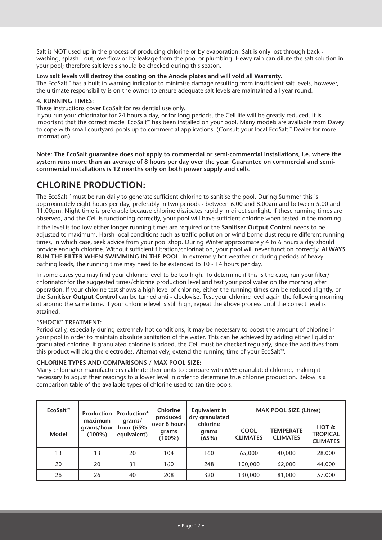Salt is NOT used up in the process of producing chlorine or by evaporation. Salt is only lost through back washing, splash - out, overflow or by leakage from the pool or plumbing. Heavy rain can dilute the salt solution in your pool; therefore salt levels should be checked during this season.

#### **Low salt levels will destroy the coating on the Anode plates and will void all Warranty.**

The EcoSalt™ has a built in warning indicator to minimise damage resulting from insufficient salt levels, however, the ultimate responsibility is on the owner to ensure adequate salt levels are maintained all year round.

#### **4. RUNNING TIMES:**

These instructions cover EcoSalt for residential use only.

If you run your chlorinator for 24 hours a day, or for long periods, the Cell life will be greatly reduced. It is important that the correct model EcoSalt™ has been installed on your pool. Many models are available from Davey to cope with small courtyard pools up to commercial applications. (Consult your local EcoSalt™ Dealer for more information).

**Note: The EcoSalt guarantee does not apply to commercial or semi-commercial installations, i.e. where the system runs more than an average of 8 hours per day over the year. Guarantee on commercial and semicommercial installations is 12 months only on both power supply and cells.**

# **CHLORINE PRODUCTION:**

The EcoSalt™ must be run daily to generate sufficient chlorine to sanitise the pool. During Summer this is approximately eight hours per day, preferably in two periods - between 6.00 and 8.00am and between 5.00 and 11.00pm. Night time is preferable because chlorine dissipates rapidly in direct sunlight. If these running times are observed, and the Cell is functioning correctly, your pool will have sufficient chlorine when tested in the morning.

If the level is too low either longer running times are required or the **Sanitiser Output Control** needs to be adjusted to maximum. Harsh local conditions such as traffic pollution or wind borne dust require different running times, in which case, seek advice from your pool shop. During Winter approximately 4 to 6 hours a day should provide enough chlorine. Without sufficient filtration/chlorination, your pool will never function correctly. **ALWAYS RUN THE FILTER WHEN SWIMMING IN THE POOL**. In extremely hot weather or during periods of heavy bathing loads, the running time may need to be extended to 10 - 14 hours per day.

In some cases you may find your chlorine level to be too high. To determine if this is the case, run your filter/ chlorinator for the suggested times/chlorine production level and test your pool water on the morning after operation. If your chlorine test shows a high level of chlorine, either the running times can be reduced slightly, or the **Sanitiser Output Control** can be turned anti - clockwise. Test your chlorine level again the following morning at around the same time. If your chlorine level is still high, repeat the above process until the correct level is attained.

# **"SHOCK" TREATMENT:**

Periodically, especially during extremely hot conditions, it may be necessary to boost the amount of chlorine in your pool in order to maintain absolute sanitation of the water. This can be achieved by adding either liquid or granulated chlorine. If granulated chlorine is added, the Cell must be checked regularly, since the additives from this product will clog the electrodes. Alternatively, extend the running time of your EcoSalt™.

# **CHLORINE TYPES AND COMPARISONS / MAX POOL SIZE:**

Many chlorinator manufacturers calibrate their units to compare with 65% granulated chlorine, making it necessary to adjust their readings to a lower level in order to determine true chlorine production. Below is a comparison table of the available types of chlorine used to sanitise pools.

| EcoSalt <sup>m</sup> |                                    | <b>Production   Production* </b><br>$q$ rams/<br>hour $(65%$<br>equivalent) | <b>Chlorine</b><br>produced<br>over 8 hours<br>grams<br>$(100\%)$ | Equivalent in<br>dry granulated<br>chlorine<br>grams<br>(65%) | <b>MAX POOL SIZE (Litres)</b>  |                                     |                                               |
|----------------------|------------------------------------|-----------------------------------------------------------------------------|-------------------------------------------------------------------|---------------------------------------------------------------|--------------------------------|-------------------------------------|-----------------------------------------------|
| Model                | maximum<br>grams/hour<br>$(100\%)$ |                                                                             |                                                                   |                                                               | <b>COOL</b><br><b>CLIMATES</b> | <b>TEMPERATE</b><br><b>CLIMATES</b> | $HOT$ &<br><b>TROPICAL</b><br><b>CLIMATES</b> |
| 13                   | 13                                 | 20                                                                          | 104                                                               | 160                                                           | 65,000                         | 40,000                              | 28,000                                        |
| 20                   | 20                                 | 31                                                                          | 160                                                               | 248                                                           | 100,000                        | 62,000                              | 44,000                                        |
| 26                   | 26                                 | 40                                                                          | 208                                                               | 320                                                           | 130,000                        | 81,000                              | 57,000                                        |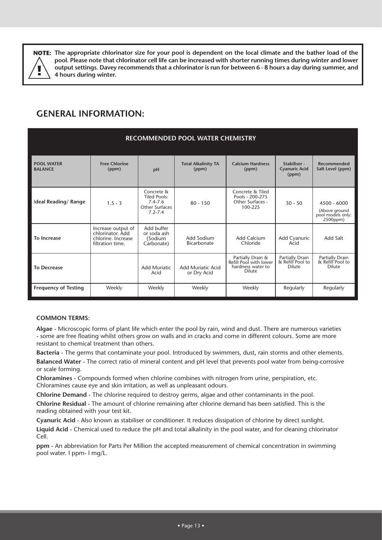

**The appropriate chlorinator size for your pool is dependent on the local climate and the bather load of the NOTE: pool. Please note that chlorinator cell life can be increased with shorter running times during winter and lower output settings. Davey recommends that a chlorinator is run for between 6 - 8 hours a day during summer, and 4 hours during winter.** 

# **GENERAL INFORMATION:**

| <b>RECOMMENDED POOL WATER CHEMISTRY</b> |                                                                                  |                                                                                          |                                     |                                                                            |                                               |                                                                 |  |
|-----------------------------------------|----------------------------------------------------------------------------------|------------------------------------------------------------------------------------------|-------------------------------------|----------------------------------------------------------------------------|-----------------------------------------------|-----------------------------------------------------------------|--|
| <b>POOL WATER</b><br><b>BALANCE</b>     | <b>Free Chlorine</b><br>(ppm)                                                    | pH                                                                                       | <b>Total Alkalinity TA</b><br>(ppm) | <b>Calcium Hardness</b><br>(ppm)                                           | Stabiliser -<br><b>Cyanuric Acid</b><br>(ppm) | <b>Recommended</b><br>Salt Level (ppm)                          |  |
| Ideal Reading/Range                     | $1.5 - 3$                                                                        | Concrete &<br><b>Tiled Pools:</b><br>$7.4 - 7.6$<br><b>Other Surfaces</b><br>$7.2 - 7.4$ | $80 - 150$                          | Concrete & Tiled<br>Pools - 200-275<br>Other Surfaces -<br>100-225         | $30 - 50$                                     | $4500 - 6000$<br>(Above ground<br>pool models only:<br>2500ppm) |  |
| To Increase                             | Increase output of<br>chlorinator. Add<br>chlorine. Increase<br>filtration time. | Add buffer<br>or soda ash<br>(Sodium<br>Carbonate)                                       | Add Sodium<br>Bicarbonate           | <b>Add Calcium</b><br>Chloride                                             | Add Cyanuric<br>Acid                          | Add Salt                                                        |  |
| <b>To Decrease</b>                      |                                                                                  | <b>Add Muriatic</b><br>Acid                                                              | Add Muriatic Acid<br>or Dry Acid    | Partially Drain &<br>Refill Pool with lower<br>hardness water to<br>Dilute | Partially Drain<br>& Refill Pool to<br>Dilute | Partially Drain<br>& Refill Pool to<br><b>Dilute</b>            |  |
| <b>Frequency of Testing</b>             | Weekly                                                                           | Weekly                                                                                   | Weekly                              | Weekly                                                                     | Regularly                                     | Regularly                                                       |  |

# **COMMON TERMS:**

**Algae -** Microscopic forms of plant life which enter the pool by rain, wind and dust. There are numerous varieties - some are free floating whilst others grow on walls and in cracks and come in different colours. Some are more resistant to chemical treatment than others.

**Bacteria -** The germs that contaminate your pool. Introduced by swimmers, dust, rain storms and other elements. **Balanced Water -** The correct ratio of mineral content and pH level that prevents pool water from being-corrosive or scale forming.

**Chloramines -** Compounds formed when chlorine combines with nitrogen from urine, perspiration, etc. Chloramines cause eye and skin irritation, as well as unpleasant odours.

**Chlorine Demand -** The chlorine required to destroy germs, algae and other contaminants in the pool.

**Chlorine Residual -** The amount of chlorine remaining after chlorine demand has been satisfied. This is the reading obtained with your test kit.

**Cyanuric Acid -** Also known as stabiliser or conditioner. It reduces dissipation of chlorine by direct sunlight.

**Liquid Acid -** Chemical used to reduce the pH and total alkalinity in the pool water, and for cleaning chlorinator Cell.

**ppm -** An abbreviation for Parts Per Million the accepted measurement of chemical concentration in swimming pool water. I ppm- l mg/L.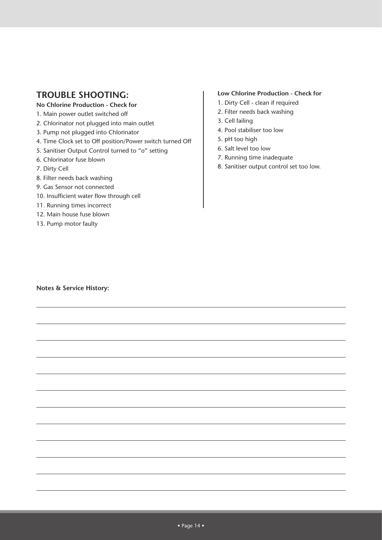# **TROUBLE SHOOTING:**

# **No Chlorine Production - Check for**

- 1. Main power outlet switched off
- 2. Chlorinator not plugged into main outlet
- 3. Pump not plugged into Chlorinator
- 4. Time Clock set to Off position/Power switch turned Off
- 5. Sanitiser Output Control turned to "o" setting
- 6. Chlorinator fuse blown
- 7. Dirty Cell
- 8. Filter needs back washing
- 9. Gas Sensor not connected
- 10. Insufficient water flow through cell
- 11. Running times incorrect
- 12. Main house fuse blown
- 13. Pump motor faulty

# **Low Chlorine Production - Check for**

- 1. Dirty Cell clean if required
- 2. Filter needs back washing
- 3. Cell failing
- 4. Pool stabiliser too low
- 5. pH too high
- 6. Salt level too low
- 7. Running time inadequate
- 8. Sanitiser output control set too low.

**Notes & Service History:**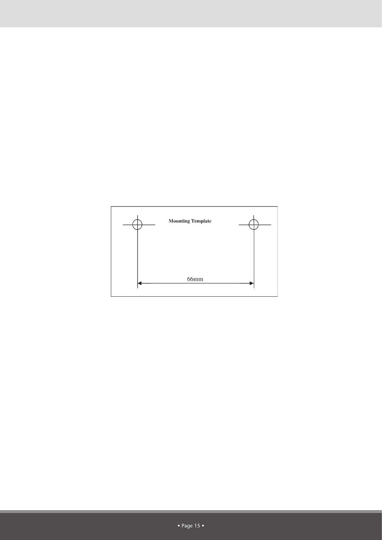